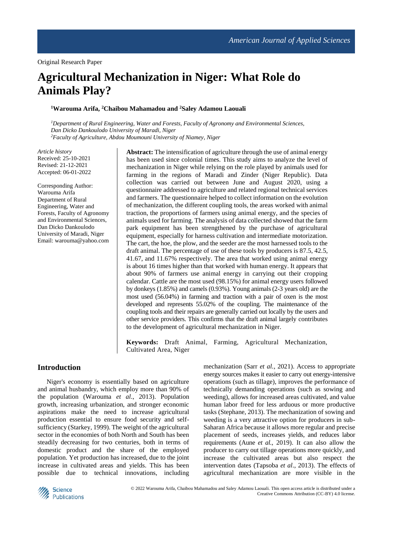# **Agricultural Mechanization in Niger: What Role do Animals Play?**

## **<sup>1</sup>Warouma Arifa, <sup>2</sup>Chaibou Mahamadou and <sup>2</sup>Saley Adamou Laouali**

*<sup>1</sup>Department of Rural Engineering, Water and Forests, Faculty of Agronomy and Environmental Sciences, Dan Dicko Dankoulodo University of Maradi, Niger <sup>2</sup>Faculty of Agriculture, Abdou Moumouni University of Niamey, Niger*

*Article history* Received: 25-10-2021 Revised: 21-12-2021 Accepted: 06-01-2022

Corresponding Author: Warouma Arifa Department of Rural Engineering, Water and Forests, Faculty of Agronomy and Environmental Sciences, Dan Dicko Dankoulodo University of Maradi, Niger Email: warouma@yahoo.com **Abstract:** The intensification of agriculture through the use of animal energy has been used since colonial times. This study aims to analyze the level of mechanization in Niger while relying on the role played by animals used for farming in the regions of Maradi and Zinder (Niger Republic). Data collection was carried out between June and August 2020, using a questionnaire addressed to agriculture and related regional technical services and farmers. The questionnaire helped to collect information on the evolution of mechanization, the different coupling tools, the areas worked with animal traction, the proportions of farmers using animal energy, and the species of animals used for farming. The analysis of data collected showed that the farm park equipment has been strengthened by the purchase of agricultural equipment, especially for harness cultivation and intermediate motorization. The cart, the hoe, the plow, and the seeder are the most harnessed tools to the draft animal. The percentage of use of these tools by producers is 87.5, 42.5, 41.67, and 11.67% respectively. The area that worked using animal energy is about 16 times higher than that worked with human energy. It appears that about 90% of farmers use animal energy in carrying out their cropping calendar. Cattle are the most used (98.15%) for animal energy users followed by donkeys (1.85%) and camels (0.93%). Young animals (2-3 years old) are the most used (56.04%) in farming and traction with a pair of oxen is the most developed and represents 55.02% of the coupling. The maintenance of the coupling tools and their repairs are generally carried out locally by the users and other service providers. This confirms that the draft animal largely contributes to the development of agricultural mechanization in Niger.

**Keywords:** Draft Animal, Farming, Agricultural Mechanization, Cultivated Area, Niger

## **Introduction**

Niger's economy is essentially based on agriculture and animal husbandry, which employ more than 90% of the population (Warouma *et al*., 2013). Population growth, increasing urbanization, and stronger economic aspirations make the need to increase agricultural production essential to ensure food security and selfsufficiency (Starkey, 1999). The weight of the agricultural sector in the economies of both North and South has been steadily decreasing for two centuries, both in terms of domestic product and the share of the employed population. Yet production has increased, due to the joint increase in cultivated areas and yields. This has been possible due to technical innovations, including mechanization (Sarr *et al.*, 2021). Access to appropriate energy sources makes it easier to carry out energy-intensive operations (such as tillage), improves the performance of technically demanding operations (such as sowing and weeding), allows for increased areas cultivated, and value human labor freed for less arduous or more productive tasks (Stephane, 2013). The mechanization of sowing and weeding is a very attractive option for producers in sub-Saharan Africa because it allows more regular and precise placement of seeds, increases yields, and reduces labor requirements (Aune *et al.*, 2019). It can also allow the producer to carry out tillage operations more quickly, and increase the cultivated areas but also respect the intervention dates (Tapsoba *et al*., 2013). The effects of agricultural mechanization are more visible in the

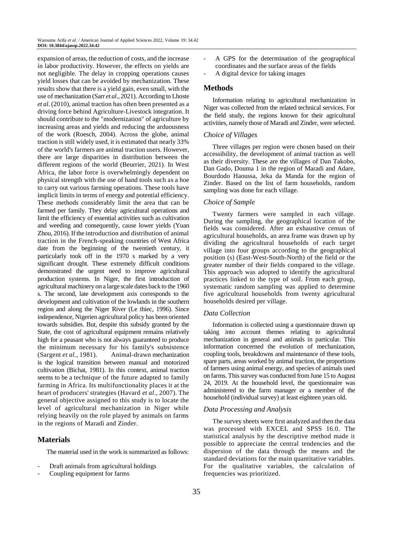expansion of areas, the reduction of costs, and the increase in labor productivity. However, the effects on yields are not negligible. The delay in cropping operations causes yield losses that can be avoided by mechanization. These results show that there is a yield gain, even small, with the use of mechanization (Sarr *et al*., 2021). According to Lhoste *et al*. (2010), animal traction has often been presented as a driving force behind Agriculture-Livestock integration. It should contribute to the "modernization" of agriculture by increasing areas and yields and reducing the arduousness of the work (Roesch, 2004). Across the globe, animal traction is still widely used, it is estimated that nearly 33% of the world's farmers are animal traction users. However, there are large disparities in distribution between the different regions of the world (Beurrier, 2021). In West Africa, the labor force is overwhelmingly dependent on physical strength with the use of hand tools such as a hoe to carry out various farming operations. These tools have implicit limits in terms of energy and potential efficiency. These methods considerably limit the area that can be farmed per family. They delay agricultural operations and limit the efficiency of essential activities such as cultivation and weeding and consequently, cause lower yields (Yuan Zhou, 2016). If the introduction and distribution of animal traction in the French-speaking countries of West Africa date from the beginning of the twentieth century, it particularly took off in the 1970 s marked by a very significant drought. These extremely difficult conditions demonstrated the urgent need to improve agricultural production systems. In Niger, the first introduction of agricultural machinery on a large scale dates back to the 1960 s. The second, late development axis corresponds to the development and cultivation of the lowlands in the southern region and along the Niger River (Le thiec, 1996). Since independence, Nigerien agricultural policy has been oriented towards subsidies. But, despite this subsidy granted by the State, the cost of agricultural equipment remains relatively high for a peasant who is not always guaranteed to produce the minimum necessary for his family's subsistence (Sargent *et al.*, 1981). Animal-drawn mechanization is the logical transition between manual and motorized cultivation (Bichat, 1981). In this context, animal traction seems to be a technique of the future adapted to family farming in Africa. Its multifunctionality places it at the heart of producers' strategies (Havard *et al*., 2007). The general objective assigned to this study is to locate the level of agricultural mechanization in Niger while relying heavily on the role played by animals on farms in the regions of Maradi and Zinder.

## **Materials**

The material used in the work is summarized as follows:

- Draft animals from agricultural holdings
- Coupling equipment for farms
- A GPS for the determination of the geographical coordinates and the surface areas of the fields
- A digital device for taking images

## **Methods**

Information relating to agricultural mechanization in Niger was collected from the related technical services. For the field study, the regions known for their agricultural activities, namely those of Maradi and Zinder, were selected.

#### *Choice of Villages*

Three villages per region were chosen based on their accessibility, the development of animal traction as well as their diversity. These are the villages of Dan Takobo, Dan Gado, Douma 1 in the region of Maradi and Adare, Bourdodo Haoussa, Jeka da Manda for the region of Zinder. Based on the list of farm households, random sampling was done for each village.

#### *Choice of Sample*

Twenty farmers were sampled in each village. During the sampling, the geographical location of the fields was considered. After an exhaustive census of agricultural households, an area frame was drawn up by dividing the agricultural households of each target village into four groups according to the geographical position (s) (East-West-South-North) of the field or the greater number of their fields compared to the village. This approach was adopted to identify the agricultural practices linked to the type of soil. From each group, systematic random sampling was applied to determine five agricultural households from twenty agricultural households desired per village.

#### *Data Collection*

Information is collected using a questionnaire drawn up taking into account themes relating to agricultural mechanization in general and animals in particular. This information concerned the evolution of mechanization, coupling tools, breakdowns and maintenance of these tools, spare parts, areas worked by animal traction, the proportions of farmers using animal energy, and species of animals used on farms. This survey was conducted from June 15 to August 24, 2019. At the household level, the questionnaire was administered to the farm manager or a member of the household (individual survey) at least eighteen years old.

#### *Data Processing and Analysis*

The survey sheets were first analyzed and then the data was processed with EXCEL and SPSS 16.0. The statistical analysis by the descriptive method made it possible to appreciate the central tendencies and the dispersion of the data through the means and the standard deviations for the main quantitative variables. For the qualitative variables, the calculation of frequencies was prioritized.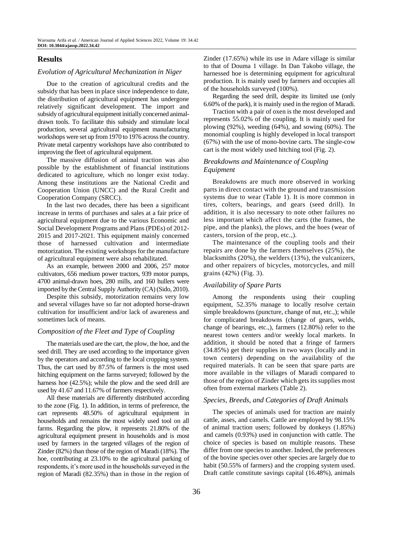## **Results**

#### *Evolution of Agricultural Mechanization in Niger*

Due to the creation of agricultural credits and the subsidy that has been in place since independence to date, the distribution of agricultural equipment has undergone relatively significant development. The import and subsidy of agricultural equipment initially concerned animaldrawn tools. To facilitate this subsidy and stimulate local production, several agricultural equipment manufacturing workshops were set up from 1970 to 1976 across the country. Private metal carpentry workshops have also contributed to improving the fleet of agricultural equipment.

The massive diffusion of animal traction was also possible by the establishment of financial institutions dedicated to agriculture, which no longer exist today. Among these institutions are the National Credit and Cooperation Union (UNCC) and the Rural Credit and Cooperation Company (SRCC).

In the last two decades, there has been a significant increase in terms of purchases and sales at a fair price of agricultural equipment due to the various Economic and Social Development Programs and Plans (PDEs) of 2012- 2015 and 2017-2021. This equipment mainly concerned those of harnessed cultivation and intermediate motorization. The existing workshops for the manufacture of agricultural equipment were also rehabilitated.

As an example, between 2000 and 2006, 257 motor cultivators, 656 medium power tractors, 939 motor pumps, 4700 animal-drawn hoes, 280 mills, and 160 hullers were imported by the Central Supply Authority (CA) (Sido, 2010).

Despite this subsidy, motorization remains very low and several villages have so far not adopted horse-drawn cultivation for insufficient and/or lack of awareness and sometimes lack of means.

## *Composition of the Fleet and Type of Coupling*

The materials used are the cart, the plow, the hoe, and the seed drill. They are used according to the importance given by the operators and according to the local cropping system. Thus, the cart used by 87.5% of farmers is the most used hitching equipment on the farms surveyed; followed by the harness hoe  $(42.5\%)$ ; while the plow and the seed drill are used by 41.67 and 11.67% of farmers respectively.

All these materials are differently distributed according to the zone (Fig. 1). In addition, in terms of preference, the cart represents 48.50% of agricultural equipment in households and remains the most widely used tool on all farms. Regarding the plow, it represents 21.80% of the agricultural equipment present in households and is most used by farmers in the targeted villages of the region of Zinder (82%) than those of the region of Maradi (18%). The hoe, contributing at 23.10% to the agricultural parking of respondents, it's more used in the households surveyed in the region of Maradi (82.35%) than in those in the region of

Zinder (17.65%) while its use in Adare village is similar to that of Douma 1 village. In Dan Takobo village, the harnessed hoe is determining equipment for agricultural production. It is mainly used by farmers and occupies all of the households surveyed (100%).

Regarding the seed drill, despite its limited use (only 6.60% of the park), it is mainly used in the region of Maradi.

Traction with a pair of oxen is the most developed and represents 55.02% of the coupling. It is mainly used for plowing (92%), weeding (64%), and sowing (60%). The monomial coupling is highly developed in local transport (67%) with the use of mono-bovine carts. The single-cow cart is the most widely used hitching tool (Fig. 2).

## *Breakdowns and Maintenance of Coupling Equipment*

Breakdowns are much more observed in working parts in direct contact with the ground and transmission systems due to wear (Table 1). It is more common in tires, colters, bearings, and gears (seed drill). In addition, it is also necessary to note other failures no less important which affect the carts (the frames, the pipe, and the planks), the plows, and the hoes (wear of casters, torsion of the prop, etc.,).

The maintenance of the coupling tools and their repairs are done by the farmers themselves (25%), the blacksmiths (20%), the welders (13%), the vulcanizers, and other repairers of bicycles, motorcycles, and mill grains (42%) (Fig. 3).

#### *Availability of Spare Parts*

Among the respondents using their coupling equipment, 52.35% manage to locally resolve certain simple breakdowns (puncture, change of nut, etc.,); while for complicated breakdowns (change of gears, welds, change of bearings, etc.,), farmers (12.80%) refer to the nearest town centers and/or weekly local markets. In addition, it should be noted that a fringe of farmers (34.85%) get their supplies in two ways (locally and in town centers) depending on the availability of the required materials. It can be seen that spare parts are more available in the villages of Maradi compared to those of the region of Zinder which gets its supplies most often from external markets (Table 2).

#### *Species, Breeds, and Categories of Draft Animals*

The species of animals used for traction are mainly cattle, asses, and camels. Cattle are employed by 98.15% of animal traction users; followed by donkeys (1.85%) and camels (0.93%) used in conjunction with cattle. The choice of species is based on multiple reasons. These differ from one species to another. Indeed, the preferences of the bovine species over other species are largely due to habit (50.55% of farmers) and the cropping system used. Draft cattle constitute savings capital (16.48%), animals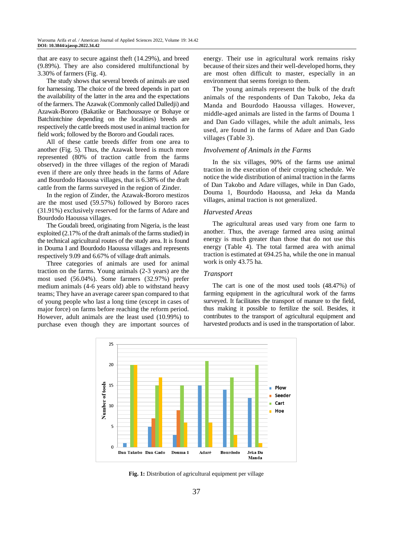that are easy to secure against theft (14.29%), and breed (9.89%). They are also considered multifunctional by 3.30% of farmers (Fig. 4).

The study shows that several breeds of animals are used for harnessing. The choice of the breed depends in part on the availability of the latter in the area and the expectations of the farmers. The Azawak (Commonly called Dalledji) and Azawak-Bororo (Bakatike or Batchoussaye or Bohaye or Batchintchine depending on the localities) breeds are respectively the cattle breeds most used in animal traction for field work; followed by the Bororo and Goudali races.

All of these cattle breeds differ from one area to another (Fig. 5). Thus, the Azawak breed is much more represented (80% of traction cattle from the farms observed) in the three villages of the region of Maradi even if there are only three heads in the farms of Adare and Bourdodo Haoussa villages, that is 6.38% of the draft cattle from the farms surveyed in the region of Zinder.

In the region of Zinder, the Azawak-Bororo mestizos are the most used (59.57%) followed by Bororo races (31.91%) exclusively reserved for the farms of Adare and Bourdodo Haoussa villages.

The Goudali breed, originating from Nigeria, is the least exploited (2.17% of the draft animals of the farms studied) in the technical agricultural routes of the study area. It is found in Douma I and Bourdodo Haoussa villages and represents respectively 9.09 and 6.67% of village draft animals.

Three categories of animals are used for animal traction on the farms. Young animals (2-3 years) are the most used (56.04%). Some farmers (32.97%) prefer medium animals (4-6 years old) able to withstand heavy teams; They have an average career span compared to that of young people who last a long time (except in cases of major force) on farms before reaching the reform period. However, adult animals are the least used (10.99%) to purchase even though they are important sources of energy. Their use in agricultural work remains risky because of their sizes and their well-developed horns, they are most often difficult to master, especially in an environment that seems foreign to them.

The young animals represent the bulk of the draft animals of the respondents of Dan Takobo, Jeka da Manda and Bourdodo Haoussa villages. However, middle-aged animals are listed in the farms of Douma 1 and Dan Gado villages, while the adult animals, less used, are found in the farms of Adare and Dan Gado villages (Table 3).

#### *Involvement of Animals in the Farms*

In the six villages, 90% of the farms use animal traction in the execution of their cropping schedule. We notice the wide distribution of animal traction in the farms of Dan Takobo and Adare villages, while in Dan Gado, Douma 1, Bourdodo Haoussa, and Jeka da Manda villages, animal traction is not generalized.

#### *Harvested Areas*

The agricultural areas used vary from one farm to another. Thus, the average farmed area using animal energy is much greater than those that do not use this energy (Table 4). The total farmed area with animal traction is estimated at 694.25 ha, while the one in manual work is only 43.75 ha.

## *Transport*

The cart is one of the most used tools (48.47%) of farming equipment in the agricultural work of the farms surveyed. It facilitates the transport of manure to the field, thus making it possible to fertilize the soil. Besides, it contributes to the transport of agricultural equipment and harvested products and is used in the transportation of labor.



**Fig. 1:** Distribution of agricultural equipment per village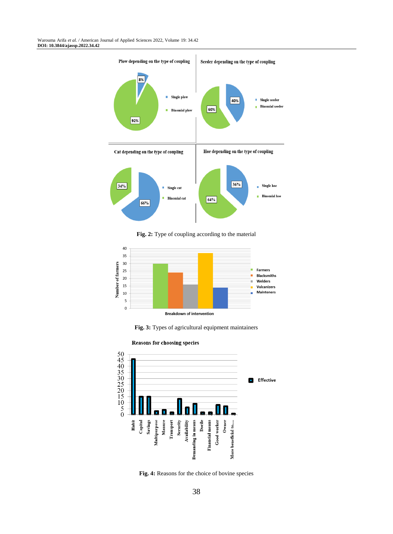Warouma Arifa *et al. /* American Journal of Applied Sciences 2022, Volume 19: 34.42 **DOI: 10.3844/ajassp.2022.34.42**



**Fig. 2:** Type of coupling according to the material



**Fig. 3:** Types of agricultural equipment maintainers





**Fig. 4:** Reasons for the choice of bovine species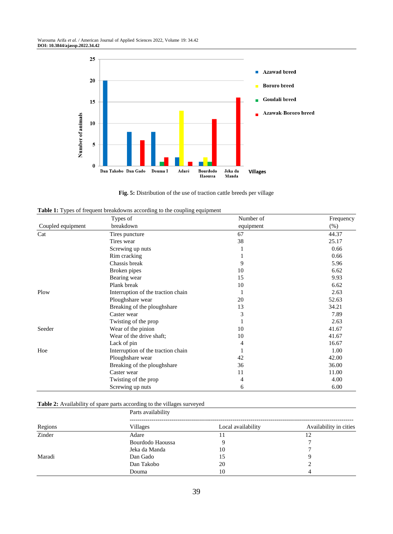

**Fig. 5:** Distribution of the use of traction cattle breeds per village

|  |  | Table 1: Types of frequent breakdowns according to the coupling equipment |  |
|--|--|---------------------------------------------------------------------------|--|
|  |  |                                                                           |  |

|                   | Types of                           | Number of | Frequency |
|-------------------|------------------------------------|-----------|-----------|
| Coupled equipment | breakdown                          | equipment | (% )      |
| Cat               | Tires puncture                     | 67        | 44.37     |
|                   | Tires wear                         | 38        | 25.17     |
|                   | Screwing up nuts                   |           | 0.66      |
|                   | Rim cracking                       |           | 0.66      |
|                   | Chassis break                      | 9         | 5.96      |
|                   | Broken pipes                       | 10        | 6.62      |
|                   | Bearing wear                       | 15        | 9.93      |
|                   | Plank break                        | 10        | 6.62      |
| Plow              | Interruption of the traction chain |           | 2.63      |
|                   | Ploughshare wear                   | 20        | 52.63     |
|                   | Breaking of the ploughshare        | 13        | 34.21     |
|                   | Caster wear                        | 3         | 7.89      |
|                   | Twisting of the prop               |           | 2.63      |
| Seeder            | Wear of the pinion                 | 10        | 41.67     |
|                   | Wear of the drive shaft;           | 10        | 41.67     |
|                   | Lack of pin                        | 4         | 16.67     |
| Hoe               | Interruption of the traction chain |           | 1.00      |
|                   | Ploughshare wear                   | 42        | 42.00     |
|                   | Breaking of the ploughshare        | 36        | 36.00     |
|                   | Caster wear                        | 11        | 11.00     |
|                   | Twisting of the prop               | 4         | 4.00      |
|                   | Screwing up nuts                   | 6         | 6.00      |

## **Table 2:** Availability of spare parts according to the villages surveyed

|         | Parts availability |                    |                        |  |  |  |
|---------|--------------------|--------------------|------------------------|--|--|--|
| Regions | Villages           | Local availability | Availability in cities |  |  |  |
| Zinder  | Adare              |                    | 12                     |  |  |  |
|         | Bourdodo Haoussa   |                    |                        |  |  |  |
|         | Jeka da Manda      | 10                 |                        |  |  |  |
| Maradi  | Dan Gado           | 15                 | Q                      |  |  |  |
|         | Dan Takobo         | 20                 |                        |  |  |  |
|         | Douma              | 10                 |                        |  |  |  |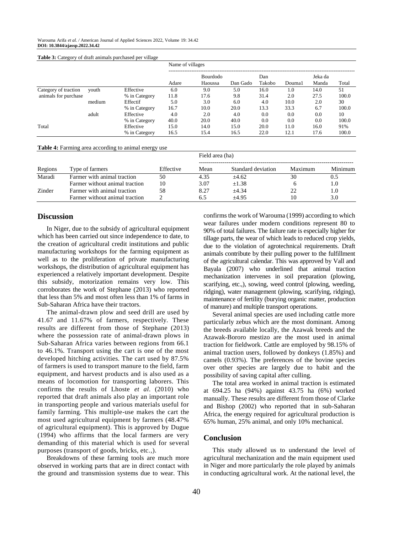#### Warouma Arifa *et al. /* American Journal of Applied Sciences 2022, Volume 19: 34.42 **DOI: 10.3844/ajassp.2022.34.42**

| <b>Table 3:</b> Category of draft animals purchased per village |        |               |                  |                            |          |               |        |                  |       |
|-----------------------------------------------------------------|--------|---------------|------------------|----------------------------|----------|---------------|--------|------------------|-------|
|                                                                 |        |               | Name of villages |                            |          |               |        |                  |       |
|                                                                 |        |               | Adare            | <b>Bourdodo</b><br>Haoussa | Dan Gado | Dan<br>Takobo | Douma1 | Jeka da<br>Manda | Total |
| Category of traction<br>animals for purchase                    | vouth  | Effective     | 6.0              | 9.0                        | 5.0      | 16.0          | 1.0    | 14.0             | 51    |
|                                                                 |        | % in Category | 11.8             | 17.6                       | 9.8      | 31.4          | 2.0    | 27.5             | 100.0 |
|                                                                 | medium | Effectif      | 5.0              | 3.0                        | 6.0      | 4.0           | 10.0   | 2.0              | 30    |
|                                                                 |        | % in Category | 16.7             | 10.0                       | 20.0     | 13.3          | 33.3   | 6.7              | 100.0 |
|                                                                 | adult  | Effective     | 4.0              | 2.0                        | 4.0      | 0.0           | 0.0    | 0.0              | 10    |
|                                                                 |        | % in Category | 40.0             | 20.0                       | 40.0     | 0.0           | 0.0    | 0.0              | 100.0 |
| Total                                                           |        | Effective     | 15.0             | 14.0                       | 15.0     | 20.0          | 11.0   | 16.0             | 91%   |
|                                                                 |        | % in Category | 16.5             | 15.4                       | 16.5     | 22.0          | 12.1   | 17.6             | 100.0 |

#### **Table 4:** Farming area according to animal energy use

|         |                                |           | Field area (ha) |                    |         |         |  |
|---------|--------------------------------|-----------|-----------------|--------------------|---------|---------|--|
| Regions | Type of farmers                | Effective | Mean            | Standard deviation | Maximum | Minimum |  |
| Maradi  | Farmer with animal traction    | 50        | 4.35            | $+4.62$            | 30      | 0.5     |  |
|         | Farmer without animal traction | 10        | 3.07            | $+1.38$            |         | 1.0     |  |
| Zinder  | Farmer with animal traction    | 58        | 8.27            | $+4.34$            | つつ      | 1.0     |  |
|         | Farmer without animal traction |           | 6.5             | $+4.95$            | 10      | 3.0     |  |

## **Discussion**

In Niger, due to the subsidy of agricultural equipment which has been carried out since independence to date, to the creation of agricultural credit institutions and public manufacturing workshops for the farming equipment as well as to the proliferation of private manufacturing workshops, the distribution of agricultural equipment has experienced a relatively important development. Despite this subsidy, motorization remains very low. This corroborates the work of Stephane (2013) who reported that less than 5% and most often less than 1% of farms in Sub-Saharan Africa have their tractors.

The animal-drawn plow and seed drill are used by 41.67 and 11.67% of farmers, respectively. These results are different from those of Stephane (2013) where the possession rate of animal-drawn plows in Sub-Saharan Africa varies between regions from 66.1 to 46.1%. Transport using the cart is one of the most developed hitching activities. The cart used by 87.5% of farmers is used to transport manure to the field, farm equipment, and harvest products and is also used as a means of locomotion for transporting laborers. This confirms the results of Lhoste *et al*. (2010) who reported that draft animals also play an important role in transporting people and various materials useful for family farming. This multiple-use makes the cart the most used agricultural equipment by farmers (48.47% of agricultural equipment). This is approved by Dugue (1994) who affirms that the local farmers are very demanding of this material which is used for several purposes (transport of goods, bricks, etc.,).

Breakdowns of these farming tools are much more observed in working parts that are in direct contact with the ground and transmission systems due to wear. This confirms the work of Warouma (1999) according to which wear failures under modern conditions represent 80 to 90% of total failures. The failure rate is especially higher for tillage parts, the wear of which leads to reduced crop yields, due to the violation of agrotechnical requirements. Draft animals contribute by their pulling power to the fulfillment of the agricultural calendar. This was approved by Vall and Bayala (2007) who underlined that animal traction mechanization intervenes in soil preparation (plowing, scarifying, etc.,), sowing, weed control (plowing, weeding, ridging), water management (plowing, scarifying, ridging), maintenance of fertility (burying organic matter, production of manure) and multiple transport operations.

Several animal species are used including cattle more particularly zebus which are the most dominant. Among the breeds available locally, the Azawak breeds and the Azawak-Bororo mestizo are the most used in animal traction for fieldwork. Cattle are employed by 98.15% of animal traction users, followed by donkeys (1.85%) and camels (0.93%). The preferences of the bovine species over other species are largely due to habit and the possibility of saving capital after culling.

The total area worked in animal traction is estimated at 694.25 ha (94%) against 43.75 ha (6%) worked manually. These results are different from those of Clarke and Bishop (2002) who reported that in sub-Saharan Africa, the energy required for agricultural production is 65% human, 25% animal, and only 10% mechanical.

## **Conclusion**

This study allowed us to understand the level of agricultural mechanization and the main equipment used in Niger and more particularly the role played by animals in conducting agricultural work. At the national level, the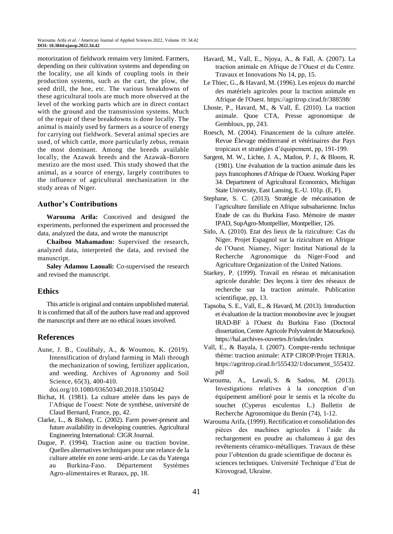motorization of fieldwork remains very limited. Farmers, depending on their cultivation systems and depending on the locality, use all kinds of coupling tools in their production systems, such as the cart, the plow, the seed drill, the hoe, etc. The various breakdowns of these agricultural tools are much more observed at the level of the working parts which are in direct contact with the ground and the transmission systems. Much of the repair of these breakdowns is done locally. The animal is mainly used by farmers as a source of energy for carrying out fieldwork. Several animal species are used, of which cattle, more particularly zebus, remain the most dominant. Among the breeds available locally, the Azawak breeds and the Azawak-Bororo mestizo are the most used. This study showed that the animal, as a source of energy, largely contributes to the influence of agricultural mechanization in the study areas of Niger.

## **Author's Contributions**

**Warouma Arifa:** Conceived and designed the experiments, performed the experiment and processed the data, analyzed the data, and wrote the manuscript

**Chaibou Mahamadou:** Supervised the research, analyzed data, interpreted the data, and revised the manuscript.

**Saley Adamou Laouali:** Co-supervised the research and revised the manuscript.

## **Ethics**

This article is original and contains unpublished material. It is confirmed that all of the authors have read and approved the manuscript and there are no ethical issues involved.

## **References**

Aune, J. B., Coulibaly, A., & Woumou, K. (2019). Intensification of dryland farming in Mali through the mechanization of sowing, fertilizer application, and weeding. Archives of Agronomy and Soil Science, 65(3), 400-410.

doi.org/10.1080/03650340.2018.1505042

- Bichat, H. (1981). La culture attelée dans les pays de l'Afrique de l'ouest: Note de synthèse, université de Claud Bernard, France, pp, 42.
- Clarke, L., & Bishop, C. (2002). Farm power-present and future availability in developing countries. Agricultural Engineering International: CIGR Journal.
- Dugue, P. (1994). Traction asine ou traction bovine. Quelles alternatives techniques pour une relance de la culture attelée en zone semi-aride. Le cas du Yatenga au Burkina-Faso. Département Systèmes Agro-alimentaires et Ruraux, pp, 18.
- Havard, M., Vall, E., Njoya, A., & Fall, A. (2007). La traction animale en Afrique de l'Ouest et du Centre. Travaux et Innovations No 14, pp, 15.
- Le Thiec, G., & Havard, M. (1996). Les enjeux du marché des matériels agricoles pour la traction animale en Afrique de l'Ouest. https://agritrop.cirad.fr/388598/
- Lhoste, P., Havard, M., & Vall, É. (2010). La traction animale. Quoe CTA, Presse agronomique de Gembloux, pp, 243.
- Roesch, M. (2004). Financement de la culture attelée. Revue Élevage méditerrané et vétérinaires dse Pays tropicaux et stratégies d'équipement, pp, 191-199.
- Sargent, M. W., Lichte, J. A., Matlon, P. J., & Bloom, R. (1981). Une évaluation de la traction animale dans les pays francophones d'Afrique de l'Ouest. Working Paper 34. Department of Agricultural Economics, Michigan State University, East Lansing, E.-U. 101p. (E, F).
- Stephane, S. C. (2013). Stratégie de mécanisation de l'agriculture familiale en Afrique subsaharienne. Inclus Etude de cas du Burkina Faso. Mémoire de master IPAD, SupAgro-Montpellier, Montpellier, 126.
- Sido, A. (2010). Etat des lieux de la riziculture: Cas du Niger. Projet Espagnol sur la riziculture en Afrique de l'Ouest. Niamey, Niger: Institut National de la Recherche Agronomique du Niger-Food and Agriculture Organization of the United Nations.
- Starkey, P. (1999). Travail en réseau et mécanisation agricole durable: Des leçons à tirer des réseaux de recherche sur la traction animale. Publication scientifique, pp, 13.
- Tapsoba, S. E., Vall, E., & Havard, M. (2013). Introduction et évaluation de la traction monobovine avec le jouguet IRAD-BF à l'Ouest du Burkina Faso (Doctoral dissertation, Centre Agricole Polyvalent de Matourkou). https://hal.archives-ouvertes.fr/index/index
- Vall, E., & Bayala, I. (2007). Compte-rendu technique thème: traction animale: ATP CIROP/Projet TERIA. https://agritrop.cirad.fr/555432/1/document\_555432. pdf
- Warouma, A., Lawali, S. & Sadou, M. (2013). Investigations relatives à la conception d'un équipement amélioré pour le semis et la récolte du souchet (Cyperus esculentus L.) Bulletin de Recherche Agronomique du Benin (74), 1-12.
- Warouma Arifa, (1999). Rectification et consolidation des pièces des machines agricoles à l'aide du rechargement en poudre au chalumeau à gaz des revêtements céramico-métalliques. Travaux de thèse pour l'obtention du grade scientifique de docteur ès sciences techniques. Université Technique d'Etat de Kirovograd, Ukraine.